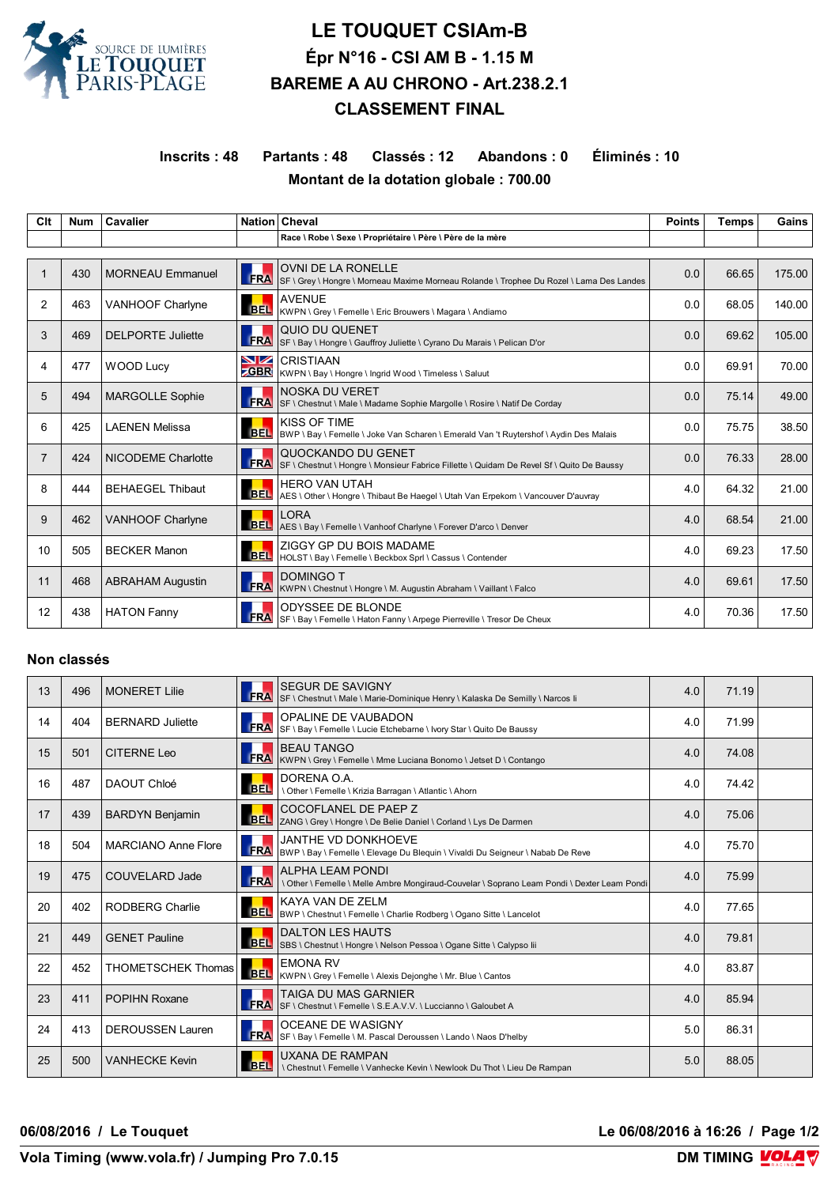

# **LE TOUQUET CSIAm-B Épr N°16 - CSI AM B - 1.15 M BAREME A AU CHRONO - Art.238.2.1 CLASSEMENT FINAL**

## **Inscrits : 48 Partants : 48 Classés : 12 Abandons : 0 Éliminés : 10 Montant de la dotation globale : 700.00**

| Clt | <b>Num</b> | Cavalier                  |            | Nation Cheval                                                                                                         | <b>Points</b> | <b>Temps</b> | Gains  |  |
|-----|------------|---------------------------|------------|-----------------------------------------------------------------------------------------------------------------------|---------------|--------------|--------|--|
|     |            |                           |            | Race \ Robe \ Sexe \ Propriétaire \ Père \ Père de la mère                                                            |               |              |        |  |
|     |            |                           |            |                                                                                                                       |               |              |        |  |
|     | 430        | <b>MORNEAU Emmanuel</b>   | <b>FRA</b> | <b>OVNI DE LA RONELLE</b><br>SF \ Grey \ Hongre \ Morneau Maxime Morneau Rolande \ Trophee Du Rozel \ Lama Des Landes | 0.0           | 66.65        | 175.00 |  |
| 2   | 463        | VANHOOF Charlyne          | <b>BEL</b> | <b>AVENUE</b><br>KWPN \ Grey \ Femelle \ Eric Brouwers \ Magara \ Andiamo                                             | 0.0           | 68.05        | 140.00 |  |
| 3   | 469        | <b>DELPORTE Juliette</b>  | <b>FRA</b> | QUIO DU QUENET<br>SF \ Bay \ Hongre \ Gauffroy Juliette \ Cyrano Du Marais \ Pelican D'or                             | 0.0           | 69.62        | 105.00 |  |
| 4   | 477        | <b>WOOD Lucy</b>          | NZ.        | <b>CRISTIAAN</b><br><b>CBR</b> KWPN \ Bay \ Hongre \ Ingrid Wood \ Timeless \ Saluut                                  | 0.0           | 69.91        | 70.00  |  |
| 5   | 494        | <b>MARGOLLE Sophie</b>    | <b>FRA</b> | <b>NOSKA DU VERET</b><br>SF \ Chestnut \ Male \ Madame Sophie Margolle \ Rosire \ Natif De Corday                     | 0.0           | 75.14        | 49.00  |  |
| 6   | 425        | <b>LAENEN Melissa</b>     | <b>BEL</b> | KISS OF TIME<br>BWP \ Bay \ Femelle \ Joke Van Scharen \ Emerald Van 't Ruytershof \ Aydin Des Malais                 | 0.0           | 75.75        | 38.50  |  |
| 7   | 424        | <b>NICODEME Charlotte</b> | FRA        | QUOCKANDO DU GENET<br>SF \ Chestnut \ Hongre \ Monsieur Fabrice Fillette \ Quidam De Revel Sf \ Quito De Baussy       | 0.0           | 76.33        | 28.00  |  |
| 8   | 444        | <b>BEHAEGEL Thibaut</b>   | <b>BEL</b> | <b>HERO VAN UTAH</b><br>AES \ Other \ Hongre \ Thibaut Be Haegel \ Utah Van Erpekom \ Vancouver D'auvray              | 4.0           | 64.32        | 21.00  |  |
| 9   | 462        | <b>VANHOOF Charlyne</b>   | <b>BEL</b> | <b>LORA</b><br>AES \ Bay \ Femelle \ Vanhoof Charlyne \ Forever D'arco \ Denver                                       | 4.0           | 68.54        | 21.00  |  |
| 10  | 505        | <b>BECKER Manon</b>       | <b>BEL</b> | ZIGGY GP DU BOIS MADAME<br>HOLST \ Bay \ Femelle \ Beckbox Sprl \ Cassus \ Contender                                  | 4.0           | 69.23        | 17.50  |  |
| 11  | 468        | <b>ABRAHAM Augustin</b>   | <b>FRA</b> | <b>DOMINGO T</b><br>KWPN \ Chestnut \ Hongre \ M. Augustin Abraham \ Vaillant \ Falco                                 | 4.0           | 69.61        | 17.50  |  |
| 12  | 438        | <b>HATON Fanny</b>        | <b>FRA</b> | <b>ODYSSEE DE BLONDE</b><br>SF \ Bay \ Femelle \ Haton Fanny \ Arpege Pierreville \ Tresor De Cheux                   | 4.0           | 70.36        | 17.50  |  |

#### **Non classés**

| 13 | 496 | <b>MONERET Lilie</b>       | <b>FRA</b> | <b>SEGUR DE SAVIGNY</b><br>SF \ Chestnut \ Male \ Marie-Dominique Henry \ Kalaska De Semilly \ Narcos li         | 4.0 | 71.19 |  |
|----|-----|----------------------------|------------|------------------------------------------------------------------------------------------------------------------|-----|-------|--|
| 14 | 404 | <b>BERNARD Juliette</b>    |            | OPALINE DE VAUBADON<br>FRA SF \ Bay \ Femelle \ Lucie Etchebarne \ Ivory Star \ Quito De Baussy                  | 4.0 | 71.99 |  |
| 15 | 501 | <b>CITERNE Leo</b>         | <b>FRA</b> | <b>BEAU TANGO</b><br>KWPN \ Grey \ Femelle \ Mme Luciana Bonomo \ Jetset D \ Contango                            | 4.0 | 74.08 |  |
| 16 | 487 | DAOUT Chloé                | <b>BEL</b> | DORENA O.A.<br>Other \ Femelle \ Krizia Barragan \ Atlantic \ Ahorn                                              | 4.0 | 74.42 |  |
| 17 | 439 | <b>BARDYN Benjamin</b>     | <b>BEL</b> | COCOFLANEL DE PAEP Z<br>ZANG \ Grey \ Hongre \ De Belie Daniel \ Corland \ Lys De Darmen                         | 4.0 | 75.06 |  |
| 18 | 504 | <b>MARCIANO Anne Flore</b> |            | JANTHE VD DONKHOEVE<br><b>FRA</b> BWP \ Bay \ Femelle \ Elevage Du Blequin \ Vivaldi Du Seigneur \ Nabab De Reve | 4.0 | 75.70 |  |
| 19 | 475 | COUVELARD Jade             | FRA        | ALPHA LEAM PONDI<br>\ Other \ Femelle \ Melle Ambre Mongiraud-Couvelar \ Soprano Leam Pondi \ Dexter Leam Pondi  | 4.0 | 75.99 |  |
| 20 | 402 | <b>RODBERG Charlie</b>     |            | KAYA VAN DE ZELM<br>BEL  BWP \ Chestnut \ Femelle \ Charlie Rodberg \ Ogano Sitte \ Lancelot                     | 4.0 | 77.65 |  |
| 21 | 449 | <b>GENET Pauline</b>       | <b>BEL</b> | <b>DALTON LES HAUTS</b><br>SBS \ Chestnut \ Hongre \ Nelson Pessoa \ Ogane Sitte \ Calypso lii                   | 4.0 | 79.81 |  |
| 22 | 452 | <b>THOMETSCHEK Thomas</b>  | <b>BEL</b> | <b>EMONA RV</b><br>KWPN \ Grey \ Femelle \ Alexis Dejonghe \ Mr. Blue \ Cantos                                   | 4.0 | 83.87 |  |
| 23 | 411 | <b>POPIHN Roxane</b>       | <b>FRA</b> | <b>TAIGA DU MAS GARNIER</b><br>SF \ Chestnut \ Femelle \ S.E.A.V.V. \ Luccianno \ Galoubet A                     | 4.0 | 85.94 |  |
| 24 | 413 | <b>DEROUSSEN Lauren</b>    |            | OCEANE DE WASIGNY<br>FRA SF \ Bay \ Femelle \ M. Pascal Deroussen \ Lando \ Naos D'helby                         | 5.0 | 86.31 |  |
| 25 | 500 | <b>VANHECKE Kevin</b>      | <b>BEL</b> | <b>UXANA DE RAMPAN</b><br>\ Chestnut \ Femelle \ Vanhecke Kevin \ Newlook Du Thot \ Lieu De Rampan               | 5.0 | 88.05 |  |

**06/08/2016 / Le Touquet Le 06/08/2016 à 16:26 / Page 1/2**